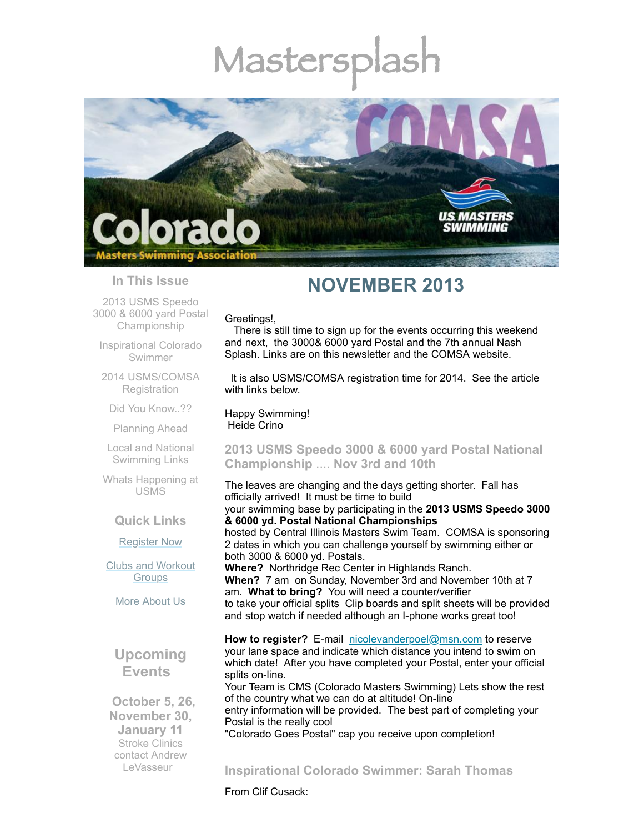# Mastersp



## **In This Issue**

2013 USMS Speedo 3000 & 6000 yard Postal [Championship](#page-0-0)

[Inspirational](#page-0-1) Colorado Swimmer

2014 [USMS/COMSA](#page-1-0) **Registration** 

Did You [Know..??](#page-1-1)

[Planning](#page-2-0) Ahead

Local and National [Swimming](#page-2-1) Links

Whats [Happening](#page-2-2) at USMS

### **Quick Links**

[Register](http://comsa.org/joining/index.html) Now

Clubs and [Workout](http://comsa.org/clubs/index.html) **Groups** 

More [About](http://comsa.org/) Us

# **Upcoming Events**

 **October 5, 26, November 30, January 11** Stroke Clinics contact Andrew **[LeVasseur](mailto:swimmin4fun@msn.com)** 

# **NOVEMBER 2013**

Greetings!,

There is still time to sign up for the events occurring this weekend and next, the 3000& 6000 yard Postal and the 7th annual Nash Splash. Links are on this newsletter and the COMSA website.

It is also USMS/COMSA registration time for 2014. See the article with links below.

Happy Swimming! Heide Crino

## <span id="page-0-0"></span>**2013 USMS Speedo 3000 & 6000 yard Postal National Championship** .... **Nov 3rd and 10th**

The leaves are changing and the days getting shorter. Fall has officially arrived! It must be time to build your swimming base by participating in the **2013 USMS Speedo 3000 & 6000 yd. Postal National Championships**

hosted by Central Illinois Masters Swim Team. COMSA is sponsoring 2 dates in which you can challenge yourself by swimming either or both 3000 & 6000 yd. Postals.

**Where?** Northridge Rec Center in Highlands Ranch. **When?** 7 am on Sunday, November 3rd and November 10th at 7 am. **What to bring?** You will need a counter/verifier to take your official splits Clip boards and split sheets will be provided and stop watch if needed although an I-phone works great too!

**How to register?** E-mail [nicolevanderpoel@msn.com](mailto:nicolevanderpoel@msn.com) to reserve your lane space and indicate which distance you intend to swim on which date! After you have completed your Postal, enter your official splits on-line. Your Team is CMS (Colorado Masters Swimming) Lets show the rest

of the country what we can do at altitude! On-line entry information will be provided. The best part of completing your

Postal is the really cool

"Colorado Goes Postal" cap you receive upon completion!

# <span id="page-0-1"></span>**Inspirational Colorado Swimmer: Sarah Thomas**

From Clif Cusack: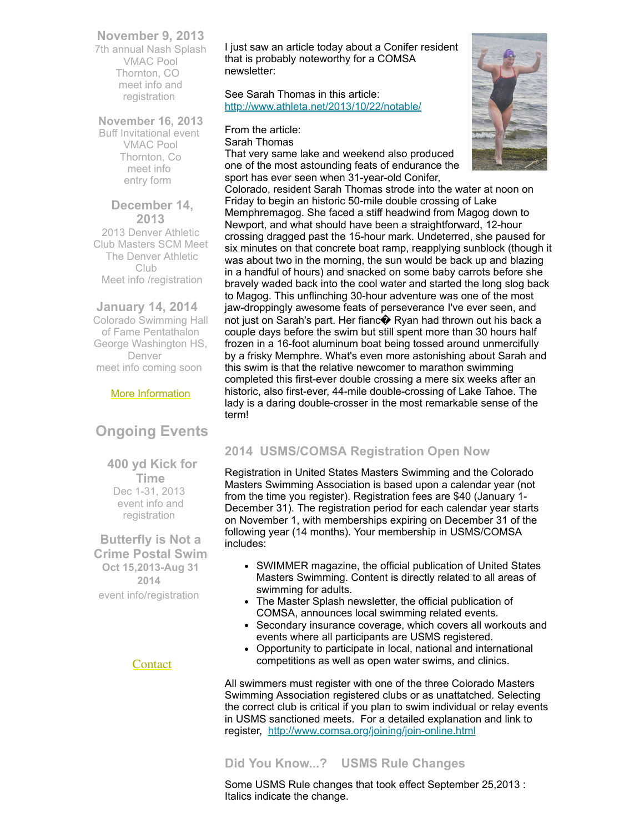## **November 9, 2013**

7th annual Nash Splash VMAC Pool Thornton, CO meet info and [registration](https://www.clubassistant.com/club/meet.cfm?c=1279&smid=4939)

**November 16, 2013** Buff Invitational event VMAC Pool Thornton, Co [meet](http://www.comsa.org/events/2013%20pool/2013BuffInviteSCY.pdf) info [entry](http://www.comsa.org/leadership/forms-documents/ConsEntry.pdf) form

 **December 14, 2013** 2013 Denver Athletic Club Masters SCM Meet The Denver Athletic Club Meet info [/registration](http://www.comsa.org/events/2013%20pool/2013DACMastersMeetSheet.pdf)

## **January 14, 2014**

Colorado Swimming Hall of Fame Pentathalon George Washington HS, Denver meet info coming soon

## More [Information](http://www.comsa.org/)

# **Ongoing Events**

**400 yd Kick for Time** Dec 1-31, 2013 event info and [registration](http://www.usms.org/comp/event.php?MeetID=20131201MEMO-1Y)

**Butterfly is Not a Crime Postal Swim Oct 15,2013-Aug 31 2014** event [info/registration](http://swimflyfast.com/)

## **[Contact](mailto:heidecrino@gmail.com?)**

I just saw an article today about a Conifer resident that is probably noteworthy for a COMSA newsletter:

See Sarah Thomas in this article: <http://www.athleta.net/2013/10/22/notable/>

From the article:

Sarah Thomas

That very same lake and weekend also produced one of the most astounding feats of endurance the sport has ever seen when 31-year-old Conifer,



Colorado, resident Sarah Thomas strode into the water at noon on Friday to begin an historic 50-mile double crossing of Lake Memphremagog. She faced a stiff headwind from Magog down to Newport, and what should have been a straightforward, 12-hour crossing dragged past the 15-hour mark. Undeterred, she paused for six minutes on that concrete boat ramp, reapplying sunblock (though it was about two in the morning, the sun would be back up and blazing in a handful of hours) and snacked on some baby carrots before she bravely waded back into the cool water and started the long slog back to Magog. This unflinching 30-hour adventure was one of the most jaw-droppingly awesome feats of perseverance I've ever seen, and not just on Sarah's part. Her fianc� Ryan had thrown out his back a couple days before the swim but still spent more than 30 hours half frozen in a 16-foot aluminum boat being tossed around unmercifully by a frisky Memphre. What's even more astonishing about Sarah and this swim is that the relative newcomer to marathon swimming completed this first-ever double crossing a mere six weeks after an historic, also first-ever, 44-mile double-crossing of Lake Tahoe. The lady is a daring double-crosser in the most remarkable sense of the term!

## <span id="page-1-0"></span>**2014 USMS/COMSA Registration Open Now**

Registration in United States Masters Swimming and the Colorado Masters Swimming Association is based upon a calendar year (not from the time you register). Registration fees are \$40 (January 1- December 31). The registration period for each calendar year starts on November 1, with memberships expiring on December 31 of the following year (14 months). Your membership in USMS/COMSA includes:

- SWIMMER magazine, the official publication of United States Masters Swimming. Content is directly related to all areas of swimming for adults.
- The Master Splash newsletter, the official publication of COMSA, announces local swimming related events.
- Secondary insurance coverage, which covers all workouts and events where all participants are USMS registered.
- Opportunity to participate in local, national and international competitions as well as open water swims, and clinics.

All swimmers must register with one of the three Colorado Masters Swimming Association registered clubs or as unattatched. Selecting the correct club is critical if you plan to swim individual or relay events in USMS sanctioned meets. For a detailed explanation and link to register, <http://www.comsa.org/joining/join-online.html>

## <span id="page-1-1"></span>**Did You Know...? USMS Rule Changes**

Some USMS Rule changes that took effect September 25,2013 : Italics indicate the change.